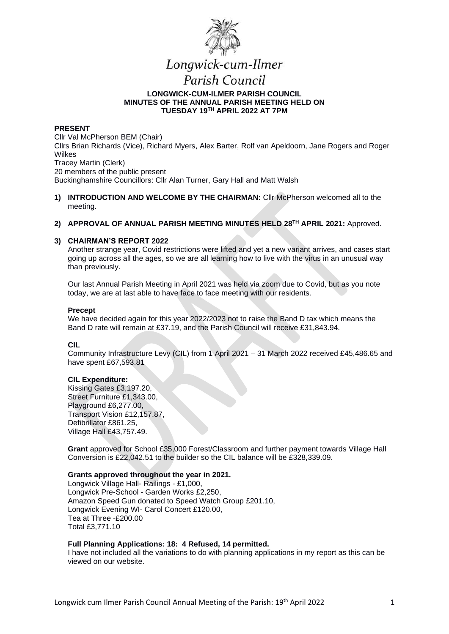

# Longwick-cum-Ilmer

# Parish Council **LONGWICK-CUM-ILMER PARISH COUNCIL MINUTES OF THE ANNUAL PARISH MEETING HELD ON TUESDAY 19TH APRIL 2022 AT 7PM**

## **PRESENT**

Cllr Val McPherson BEM (Chair) Cllrs Brian Richards (Vice), Richard Myers, Alex Barter, Rolf van Apeldoorn, Jane Rogers and Roger Wilkes Tracey Martin (Clerk) 20 members of the public present Buckinghamshire Councillors: Cllr Alan Turner, Gary Hall and Matt Walsh

- **1) INTRODUCTION AND WELCOME BY THE CHAIRMAN:** Cllr McPherson welcomed all to the meeting.
- **2) APPROVAL OF ANNUAL PARISH MEETING MINUTES HELD 28TH APRIL 2021:** Approved.

## **3) CHAIRMAN'S REPORT 2022**

Another strange year, Covid restrictions were lifted and yet a new variant arrives, and cases start going up across all the ages, so we are all learning how to live with the virus in an unusual way than previously.

Our last Annual Parish Meeting in April 2021 was held via zoom due to Covid, but as you note today, we are at last able to have face to face meeting with our residents.

## **Precept**

We have decided again for this year 2022/2023 not to raise the Band D tax which means the Band D rate will remain at £37.19, and the Parish Council will receive £31,843.94.

## **CIL**

Community Infrastructure Levy (CIL) from 1 April 2021 – 31 March 2022 received £45,486.65 and have spent £67,593.81

## **CIL Expenditure:**

Kissing Gates £3,197.20, Street Furniture £1,343.00, Playground £6,277.00, Transport Vision £12,157.87, Defibrillator £861.25, Village Hall £43,757.49.

**Grant** approved for School £35,000 Forest/Classroom and further payment towards Village Hall Conversion is £22,042.51 to the builder so the CIL balance will be £328,339.09.

## **Grants approved throughout the year in 2021.**

Longwick Village Hall- Railings - £1,000, Longwick Pre-School - Garden Works £2,250, Amazon Speed Gun donated to Speed Watch Group £201.10, Longwick Evening WI- Carol Concert £120.00, Tea at Three -£200.00 Total £3,771.10

## **Full Planning Applications: 18: 4 Refused, 14 permitted.**

I have not included all the variations to do with planning applications in my report as this can be viewed on our website.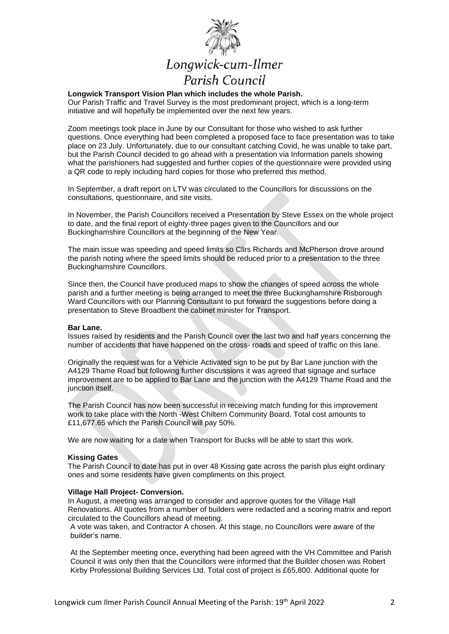

## **Longwick Transport Vision Plan which includes the whole Parish.**

Our Parish Traffic and Travel Survey is the most predominant project, which is a long-term initiative and will hopefully be implemented over the next few years.

Zoom meetings took place in June by our Consultant for those who wished to ask further questions. Once everything had been completed a proposed face to face presentation was to take place on 23 July. Unfortunately, due to our consultant catching Covid, he was unable to take part, but the Parish Council decided to go ahead with a presentation via Information panels showing what the parishioners had suggested and further copies of the questionnaire were provided using a QR code to reply including hard copies for those who preferred this method.

In September, a draft report on LTV was circulated to the Councillors for discussions on the consultations, questionnaire, and site visits.

In November, the Parish Councillors received a Presentation by Steve Essex on the whole project to date, and the final report of eighty-three pages given to the Councillors and our Buckinghamshire Councillors at the beginning of the New Year.

The main issue was speeding and speed limits so Cllrs Richards and McPherson drove around the parish noting where the speed limits should be reduced prior to a presentation to the three Buckinghamshire Councillors.

Since then, the Council have produced maps to show the changes of speed across the whole parish and a further meeting is being arranged to meet the three Buckinghamshire Risborough Ward Councillors with our Planning Consultant to put forward the suggestions before doing a presentation to Steve Broadbent the cabinet minister for Transport.

## **Bar Lane.**

Issues raised by residents and the Parish Council over the last two and half years concerning the number of accidents that have happened on the cross- roads and speed of traffic on this lane.

Originally the request was for a Vehicle Activated sign to be put by Bar Lane junction with the A4129 Thame Road but following further discussions it was agreed that signage and surface improvement are to be applied to Bar Lane and the junction with the A4129 Thame Road and the junction itself.

The Parish Council has now been successful in receiving match funding for this improvement work to take place with the North -West Chiltern Community Board. Total cost amounts to £11,677.65 which the Parish Council will pay 50%.

We are now waiting for a date when Transport for Bucks will be able to start this work.

#### **Kissing Gates**

The Parish Council to date has put in over 48 Kissing gate across the parish plus eight ordinary ones and some residents have given compliments on this project.

## **Village Hall Project- Conversion.**

In August, a meeting was arranged to consider and approve quotes for the Village Hall Renovations. All quotes from a number of builders were redacted and a scoring matrix and report circulated to the Councillors ahead of meeting.

A vote was taken, and Contractor A chosen. At this stage, no Councillors were aware of the builder's name.

At the September meeting once, everything had been agreed with the VH Committee and Parish Council it was only then that the Councillors were informed that the Builder chosen was Robert Kirby Professional Building Services Ltd. Total cost of project is £65,800. Additional quote for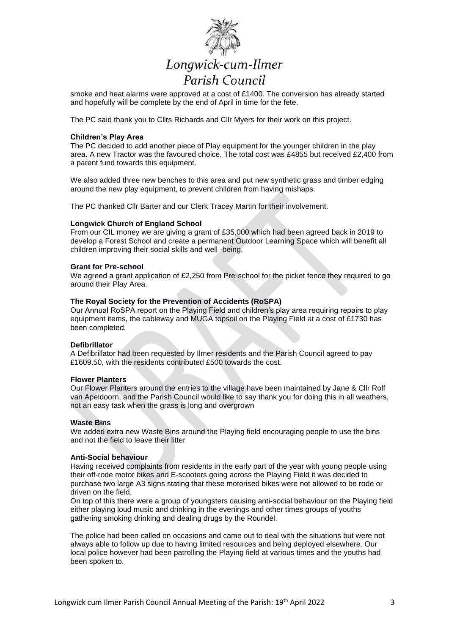

# Longwick-cum-Ilmer Parish Council

smoke and heat alarms were approved at a cost of £1400. The conversion has already started and hopefully will be complete by the end of April in time for the fete.

The PC said thank you to Cllrs Richards and Cllr Myers for their work on this project.

### **Children's Play Area**

The PC decided to add another piece of Play equipment for the younger children in the play area. A new Tractor was the favoured choice. The total cost was £4855 but received £2,400 from a parent fund towards this equipment.

We also added three new benches to this area and put new synthetic grass and timber edging around the new play equipment, to prevent children from having mishaps.

The PC thanked Cllr Barter and our Clerk Tracey Martin for their involvement.

#### **Longwick Church of England School**

From our CIL money we are giving a grant of £35,000 which had been agreed back in 2019 to develop a Forest School and create a permanent Outdoor Learning Space which will benefit all children improving their social skills and well -being.

#### **Grant for Pre-school**

We agreed a grant application of £2,250 from Pre-school for the picket fence they required to go around their Play Area.

## **The Royal Society for the Prevention of Accidents (RoSPA)**

Our Annual RoSPA report on the Playing Field and children's play area requiring repairs to play equipment items, the cableway and MUGA topsoil on the Playing Field at a cost of £1730 has been completed.

#### **Defibrillator**

A Defibrillator had been requested by Ilmer residents and the Parish Council agreed to pay £1609.50, with the residents contributed £500 towards the cost.

## **Flower Planters**

Our Flower Planters around the entries to the village have been maintained by Jane & Cllr Rolf van Apeldoorn, and the Parish Council would like to say thank you for doing this in all weathers, not an easy task when the grass is long and overgrown

## **Waste Bins**

We added extra new Waste Bins around the Playing field encouraging people to use the bins and not the field to leave their litter

#### **Anti-Social behaviour**

Having received complaints from residents in the early part of the year with young people using their off-rode motor bikes and E-scooters going across the Playing Field it was decided to purchase two large A3 signs stating that these motorised bikes were not allowed to be rode or driven on the field.

On top of this there were a group of youngsters causing anti-social behaviour on the Playing field either playing loud music and drinking in the evenings and other times groups of youths gathering smoking drinking and dealing drugs by the Roundel.

The police had been called on occasions and came out to deal with the situations but were not always able to follow up due to having limited resources and being deployed elsewhere. Our local police however had been patrolling the Playing field at various times and the youths had been spoken to.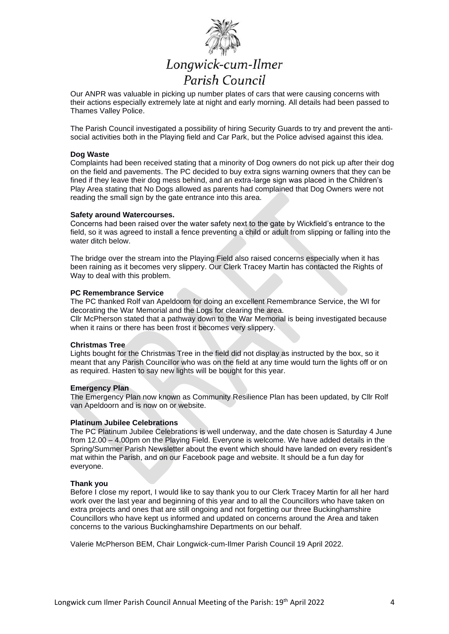

# Longwick-cum-Ilmer Parish Council

Our ANPR was valuable in picking up number plates of cars that were causing concerns with their actions especially extremely late at night and early morning. All details had been passed to Thames Valley Police.

The Parish Council investigated a possibility of hiring Security Guards to try and prevent the antisocial activities both in the Playing field and Car Park, but the Police advised against this idea.

### **Dog Waste**

Complaints had been received stating that a minority of Dog owners do not pick up after their dog on the field and pavements. The PC decided to buy extra signs warning owners that they can be fined if they leave their dog mess behind, and an extra-large sign was placed in the Children's Play Area stating that No Dogs allowed as parents had complained that Dog Owners were not reading the small sign by the gate entrance into this area.

#### **Safety around Watercourses.**

Concerns had been raised over the water safety next to the gate by Wickfield's entrance to the field, so it was agreed to install a fence preventing a child or adult from slipping or falling into the water ditch below.

The bridge over the stream into the Playing Field also raised concerns especially when it has been raining as it becomes very slippery. Our Clerk Tracey Martin has contacted the Rights of Way to deal with this problem.

## **PC Remembrance Service**

The PC thanked Rolf van Apeldoorn for doing an excellent Remembrance Service, the WI for decorating the War Memorial and the Logs for clearing the area.

Cllr McPherson stated that a pathway down to the War Memorial is being investigated because when it rains or there has been frost it becomes very slippery.

## **Christmas Tree**

Lights bought for the Christmas Tree in the field did not display as instructed by the box, so it meant that any Parish Councillor who was on the field at any time would turn the lights off or on as required. Hasten to say new lights will be bought for this year.

## **Emergency Plan**

The Emergency Plan now known as Community Resilience Plan has been updated, by Cllr Rolf van Apeldoorn and is now on or website.

## **Platinum Jubilee Celebrations**

The PC Platinum Jubilee Celebrations is well underway, and the date chosen is Saturday 4 June from 12.00 – 4.00pm on the Playing Field. Everyone is welcome. We have added details in the Spring/Summer Parish Newsletter about the event which should have landed on every resident's mat within the Parish, and on our Facebook page and website. It should be a fun day for everyone.

## **Thank you**

Before I close my report, I would like to say thank you to our Clerk Tracey Martin for all her hard work over the last year and beginning of this year and to all the Councillors who have taken on extra projects and ones that are still ongoing and not forgetting our three Buckinghamshire Councillors who have kept us informed and updated on concerns around the Area and taken concerns to the various Buckinghamshire Departments on our behalf.

Valerie McPherson BEM, Chair Longwick-cum-Ilmer Parish Council 19 April 2022.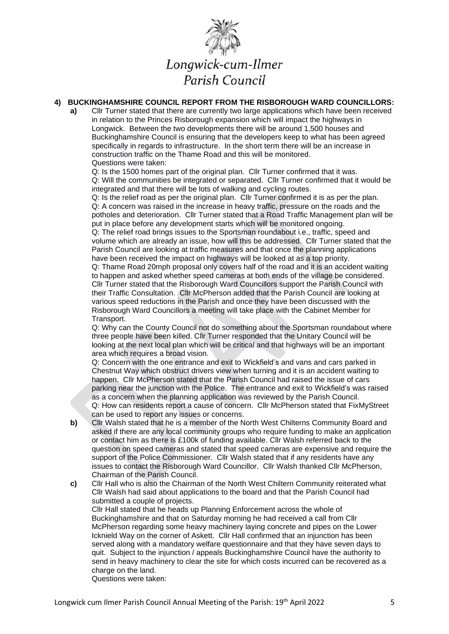

# **4) BUCKINGHAMSHIRE COUNCIL REPORT FROM THE RISBOROUGH WARD COUNCILLORS:**

**a)** Cllr Turner stated that there are currently two large applications which have been received in relation to the Princes Risborough expansion which will impact the highways in Longwick. Between the two developments there will be around 1,500 houses and Buckinghamshire Council is ensuring that the developers keep to what has been agreed specifically in regards to infrastructure. In the short term there will be an increase in construction traffic on the Thame Road and this will be monitored. Questions were taken:

Q: Is the 1500 homes part of the original plan. Cllr Turner confirmed that it was. Q: Will the communities be integrated or separated. Cllr Turner confirmed that it would be integrated and that there will be lots of walking and cycling routes.

Q: Is the relief road as per the original plan. Cllr Turner confirmed it is as per the plan. Q: A concern was raised in the increase in heavy traffic, pressure on the roads and the potholes and deterioration. Cllr Turner stated that a Road Traffic Management plan will be put in place before any development starts which will be monitored ongoing.

Q: The relief road brings issues to the Sportsman roundabout i.e., traffic, speed and volume which are already an issue, how will this be addressed. Cllr Turner stated that the Parish Council are looking at traffic measures and that once the planning applications have been received the impact on highways will be looked at as a top priority.

Q: Thame Road 20mph proposal only covers half of the road and it is an accident waiting to happen and asked whether speed cameras at both ends of the village be considered. Cllr Turner stated that the Risborough Ward Councillors support the Parish Council with their Traffic Consultation. Cllr McPherson added that the Parish Council are looking at various speed reductions in the Parish and once they have been discussed with the Risborough Ward Councillors a meeting will take place with the Cabinet Member for Transport.

Q: Why can the County Council not do something about the Sportsman roundabout where three people have been killed. Cllr Turner responded that the Unitary Council will be looking at the next local plan which will be critical and that highways will be an important area which requires a broad vision.

Q: Concern with the one entrance and exit to Wickfield's and vans and cars parked in Chestnut Way which obstruct drivers view when turning and it is an accident waiting to happen. Cllr McPherson stated that the Parish Council had raised the issue of cars parking near the junction with the Police. The entrance and exit to Wickfield's was raised as a concern when the planning application was reviewed by the Parish Council. Q: How can residents report a cause of concern. Cllr McPherson stated that FixMyStreet can be used to report any issues or concerns.

- **b)** Cllr Walsh stated that he is a member of the North West Chilterns Community Board and asked if there are any local community groups who require funding to make an application or contact him as there is £100k of funding available. Cllr Walsh referred back to the question on speed cameras and stated that speed cameras are expensive and require the support of the Police Commissioner. Cllr Walsh stated that if any residents have any issues to contact the Risborough Ward Councillor. Cllr Walsh thanked Cllr McPherson, Chairman of the Parish Council.
- **c)** Cllr Hall who is also the Chairman of the North West Chiltern Community reiterated what Cllr Walsh had said about applications to the board and that the Parish Council had submitted a couple of projects. Cllr Hall stated that he heads up Planning Enforcement across the whole of Buckinghamshire and that on Saturday morning he had received a call from Cllr McPherson regarding some heavy machinery laying concrete and pipes on the Lower Icknield Way on the corner of Askett. Cllr Hall confirmed that an injunction has been served along with a mandatory welfare questionnaire and that they have seven days to quit. Subject to the injunction / appeals Buckinghamshire Council have the authority to send in heavy machinery to clear the site for which costs incurred can be recovered as a

charge on the land.

Questions were taken: